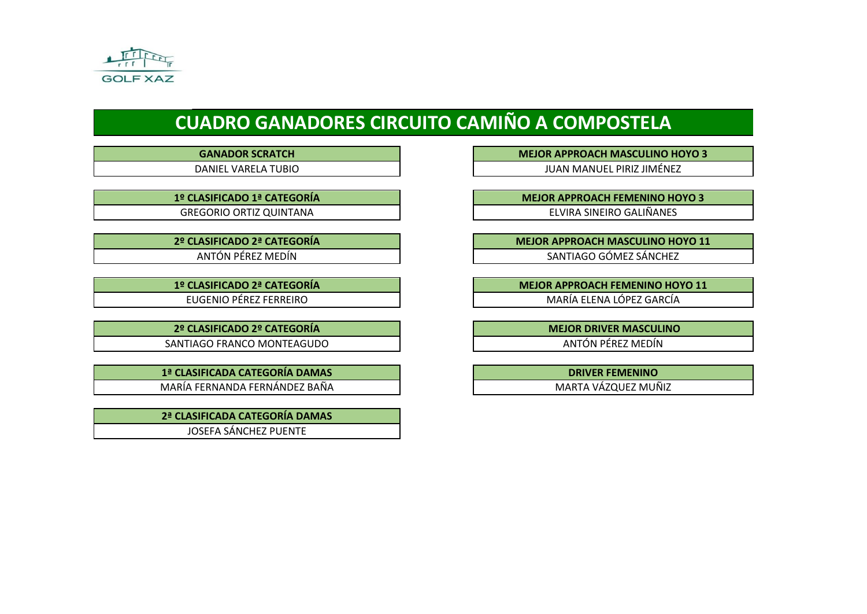

# **CUADRO GANADORES CIRCUITO CAMIÑO A COMPOSTELA**

**2º CLASIFICADO 2º CATEGORÍA MEJOR DRIVER MASCULINO** SANTIAGO FRANCO MONTEAGUDO **ANTÓN PÉREZ MEDÍN** 

**1ª CLASIFICADA CATEGORÍA DAMAS DRIVER FEMENINO** MARÍA FERNANDA FERNÁNDEZ BAÑA NARTA VÁZQUEZ MUÑIZ

**2ª CLASIFICADA CATEGORÍA DAMAS**  JOSEFA SÁNCHEZ PUENTE

**GANADOR SCRATCH <b>MEJOR APPROACH MASCULINO HOYO 3** 

DANIEL VARELA TUBIO JUAN MANUEL PIRIZ JIMÉNEZ

**1º CLASIFICADO 1ª CATEGORÍA MEJOR APPROACH FEMENINO HOYO 3** GREGORIO ORTIZ QUINTANA ELVIRA SINEIRO GALIÑANES

**2º CLASIFICADO 2ª CATEGORÍA MEJOR APPROACH MASCULINO HOYO 11** ANTÓN PÉREZ MEDÍN SANTIAGO GÓMEZ SÁNCHEZ

**1º CLASIFICADO 2ª CATEGORÍA MEJOR APPROACH FEMENINO HOYO 11** EUGENIO PÉREZ FERREIRO **EUGENIO PÉREZ FERREIRO ELENA ELENA LÓPEZ GARCÍA**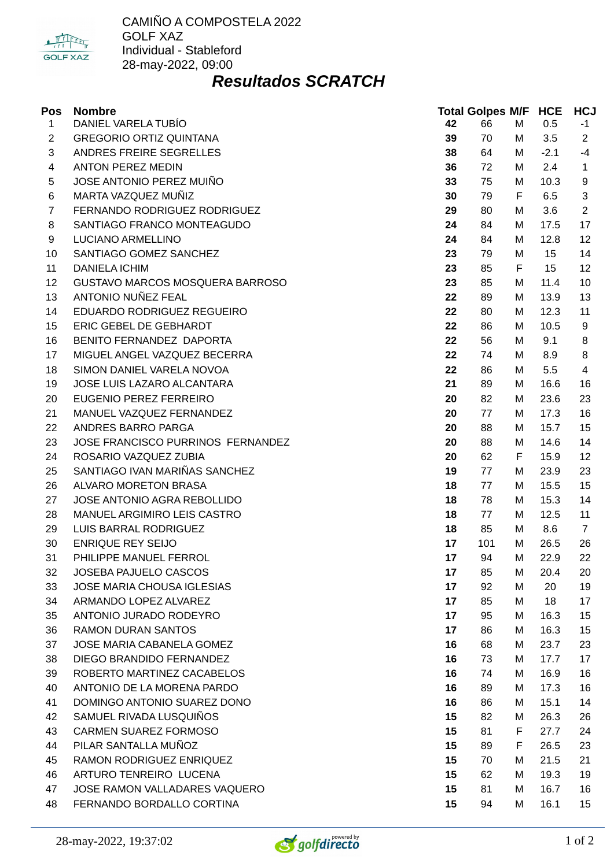

#### *Resultados SCRATCH*

| Pos            | <b>Nombre</b>                     |    | <b>Total Golpes M/F HCE</b> |   |        | <b>HCJ</b>     |
|----------------|-----------------------------------|----|-----------------------------|---|--------|----------------|
| $\mathbf{1}$   | DANIEL VARELA TUBÍO               | 42 | 66                          | M | 0.5    | $-1$           |
| $\overline{c}$ | <b>GREGORIO ORTIZ QUINTANA</b>    | 39 | 70                          | М | 3.5    | $\overline{2}$ |
| 3              | ANDRES FREIRE SEGRELLES           | 38 | 64                          | М | $-2.1$ | $-4$           |
| 4              | <b>ANTON PEREZ MEDIN</b>          | 36 | 72                          | М | 2.4    | $\mathbf{1}$   |
| 5              | JOSE ANTONIO PEREZ MUIÑO          | 33 | 75                          | М | 10.3   | 9              |
| 6              | MARTA VAZQUEZ MUÑIZ               | 30 | 79                          | F | 6.5    | 3              |
| 7              | FERNANDO RODRIGUEZ RODRIGUEZ      | 29 | 80                          | М | 3.6    | $\overline{2}$ |
| 8              | SANTIAGO FRANCO MONTEAGUDO        | 24 | 84                          | М | 17.5   | 17             |
| 9              | LUCIANO ARMELLINO                 | 24 | 84                          | М | 12.8   | 12             |
| 10             | SANTIAGO GOMEZ SANCHEZ            | 23 | 79                          | М | 15     | 14             |
| 11             | <b>DANIELA ICHIM</b>              | 23 | 85                          | F | 15     | 12             |
| 12             | GUSTAVO MARCOS MOSQUERA BARROSO   | 23 | 85                          | М | 11.4   | 10             |
| 13             | ANTONIO NUÑEZ FEAL                | 22 | 89                          | М | 13.9   | 13             |
| 14             | EDUARDO RODRIGUEZ REGUEIRO        | 22 | 80                          | М | 12.3   | 11             |
| 15             | ERIC GEBEL DE GEBHARDT            | 22 | 86                          | М | 10.5   | 9              |
| 16             | BENITO FERNANDEZ DAPORTA          | 22 | 56                          | М | 9.1    | 8              |
| 17             | MIGUEL ANGEL VAZQUEZ BECERRA      | 22 | 74                          | М | 8.9    | 8              |
| 18             | SIMON DANIEL VARELA NOVOA         | 22 | 86                          | М | 5.5    | $\overline{4}$ |
| 19             | JOSE LUIS LAZARO ALCANTARA        | 21 | 89                          | М | 16.6   | 16             |
| 20             | EUGENIO PEREZ FERREIRO            | 20 | 82                          | М | 23.6   | 23             |
| 21             | MANUEL VAZQUEZ FERNANDEZ          | 20 | 77                          | М | 17.3   | 16             |
| 22             | ANDRES BARRO PARGA                | 20 | 88                          | М | 15.7   | 15             |
| 23             | JOSE FRANCISCO PURRINOS FERNANDEZ | 20 | 88                          | M | 14.6   | 14             |
| 24             | ROSARIO VAZQUEZ ZUBIA             | 20 | 62                          | F | 15.9   | 12             |
| 25             | SANTIAGO IVAN MARIÑAS SANCHEZ     | 19 | 77                          | М | 23.9   | 23             |
| 26             | ALVARO MORETON BRASA              | 18 | 77                          | М | 15.5   | 15             |
| 27             | JOSE ANTONIO AGRA REBOLLIDO       | 18 | 78                          | М | 15.3   | 14             |
| 28             | MANUEL ARGIMIRO LEIS CASTRO       | 18 | 77                          | М | 12.5   | 11             |
| 29             | LUIS BARRAL RODRIGUEZ             | 18 | 85                          | М | 8.6    | $\overline{7}$ |
| 30             | <b>ENRIQUE REY SEIJO</b>          | 17 | 101                         | М | 26.5   | 26             |
| 31             | PHILIPPE MANUEL FERROL            | 17 | 94                          | М | 22.9   | 22             |
| 32             | JOSEBA PAJUELO CASCOS             | 17 | 85                          | M | 20.4   | 20             |
| 33             | JOSE MARIA CHOUSA IGLESIAS        | 17 | 92                          | M | 20     | 19             |
| 34             | ARMANDO LOPEZ ALVAREZ             | 17 | 85                          | M | 18     | 17             |
| 35             | ANTONIO JURADO RODEYRO            | 17 | 95                          | M | 16.3   | 15             |
| 36             | <b>RAMON DURAN SANTOS</b>         | 17 | 86                          | М | 16.3   | 15             |
| 37             | JOSE MARIA CABANELA GOMEZ         | 16 | 68                          | M | 23.7   | 23             |
| 38             | DIEGO BRANDIDO FERNANDEZ          | 16 | 73                          | М | 17.7   | 17             |
| 39             | ROBERTO MARTINEZ CACABELOS        | 16 | 74                          | М | 16.9   | 16             |
| 40             | ANTONIO DE LA MORENA PARDO        | 16 | 89                          | M | 17.3   | 16             |
| 41             | DOMINGO ANTONIO SUAREZ DONO       | 16 | 86                          | М | 15.1   | 14             |
| 42             | SAMUEL RIVADA LUSQUIÑOS           | 15 | 82                          | М | 26.3   | 26             |
| 43             | CARMEN SUAREZ FORMOSO             | 15 | 81                          | F | 27.7   | 24             |
| 44             | PILAR SANTALLA MUÑOZ              | 15 | 89                          | F | 26.5   | 23             |
| 45             | RAMON RODRIGUEZ ENRIQUEZ          | 15 | 70                          | М | 21.5   | 21             |
| 46             | ARTURO TENREIRO LUCENA            | 15 | 62                          | М | 19.3   | 19             |
| 47             | JOSE RAMON VALLADARES VAQUERO     | 15 | 81                          | М | 16.7   | 16             |
| 48             | FERNANDO BORDALLO CORTINA         | 15 | 94                          | М | 16.1   | 15             |

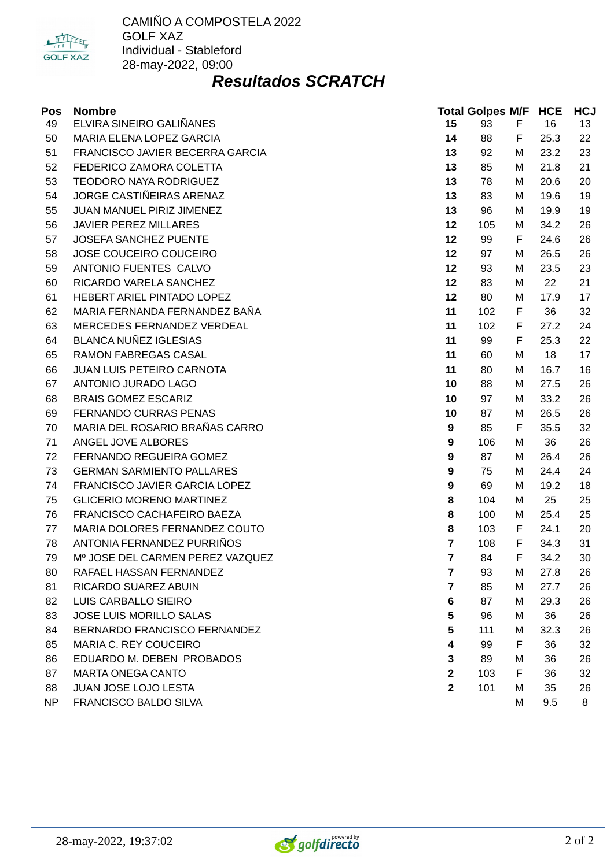

#### *Resultados SCRATCH*

| Pos | <b>Nombre</b>                    |                         | <b>Total Golpes M/F HCE</b> |   |      | <b>HCJ</b> |
|-----|----------------------------------|-------------------------|-----------------------------|---|------|------------|
| 49  | ELVIRA SINEIRO GALIÑANES         | 15                      | 93                          | F | 16   | 13         |
| 50  | MARIA ELENA LOPEZ GARCIA         | 14                      | 88                          | F | 25.3 | 22         |
| 51  | FRANCISCO JAVIER BECERRA GARCIA  | 13                      | 92                          | М | 23.2 | 23         |
| 52  | FEDERICO ZAMORA COLETTA          | 13                      | 85                          | М | 21.8 | 21         |
| 53  | <b>TEODORO NAYA RODRIGUEZ</b>    | 13                      | 78                          | М | 20.6 | 20         |
| 54  | JORGE CASTIÑEIRAS ARENAZ         | 13                      | 83                          | М | 19.6 | 19         |
| 55  | <b>JUAN MANUEL PIRIZ JIMENEZ</b> | 13                      | 96                          | М | 19.9 | 19         |
| 56  | <b>JAVIER PEREZ MILLARES</b>     | 12                      | 105                         | М | 34.2 | 26         |
| 57  | JOSEFA SANCHEZ PUENTE            | 12                      | 99                          | F | 24.6 | 26         |
| 58  | JOSE COUCEIRO COUCEIRO           | 12                      | 97                          | М | 26.5 | 26         |
| 59  | ANTONIO FUENTES CALVO            | 12                      | 93                          | М | 23.5 | 23         |
| 60  | RICARDO VARELA SANCHEZ           | 12                      | 83                          | М | 22   | 21         |
| 61  | HEBERT ARIEL PINTADO LOPEZ       | 12                      | 80                          | М | 17.9 | 17         |
| 62  | MARIA FERNANDA FERNANDEZ BAÑA    | 11                      | 102                         | F | 36   | 32         |
| 63  | MERCEDES FERNANDEZ VERDEAL       | 11                      | 102                         | F | 27.2 | 24         |
| 64  | <b>BLANCA NUÑEZ IGLESIAS</b>     | 11                      | 99                          | F | 25.3 | 22         |
| 65  | RAMON FABREGAS CASAL             | 11                      | 60                          | М | 18   | 17         |
| 66  | <b>JUAN LUIS PETEIRO CARNOTA</b> | 11                      | 80                          | М | 16.7 | 16         |
| 67  | ANTONIO JURADO LAGO              | 10                      | 88                          | М | 27.5 | 26         |
| 68  | <b>BRAIS GOMEZ ESCARIZ</b>       | 10                      | 97                          | М | 33.2 | 26         |
| 69  | FERNANDO CURRAS PENAS            | 10                      | 87                          | М | 26.5 | 26         |
| 70  | MARIA DEL ROSARIO BRAÑAS CARRO   | 9                       | 85                          | F | 35.5 | 32         |
| 71  | ANGEL JOVE ALBORES               | 9                       | 106                         | М | 36   | 26         |
| 72  | FERNANDO REGUEIRA GOMEZ          | 9                       | 87                          | М | 26.4 | 26         |
| 73  | <b>GERMAN SARMIENTO PALLARES</b> | 9                       | 75                          | М | 24.4 | 24         |
| 74  | FRANCISCO JAVIER GARCIA LOPEZ    | 9                       | 69                          | М | 19.2 | 18         |
| 75  | <b>GLICERIO MORENO MARTINEZ</b>  | 8                       | 104                         | М | 25   | 25         |
| 76  | FRANCISCO CACHAFEIRO BAEZA       | 8                       | 100                         | М | 25.4 | 25         |
| 77  | MARIA DOLORES FERNANDEZ COUTO    | 8                       | 103                         | F | 24.1 | 20         |
| 78  | ANTONIA FERNANDEZ PURRIÑOS       | $\overline{\mathbf{z}}$ | 108                         | F | 34.3 | 31         |
| 79  | Mº JOSE DEL CARMEN PEREZ VAZQUEZ | $\overline{\mathbf{z}}$ | 84                          | F | 34.2 | 30         |
| 80  | RAFAEL HASSAN FERNANDEZ          | $\overline{\mathbf{z}}$ | 93                          | М | 27.8 | 26         |
| 81  | RICARDO SUAREZ ABUIN             | 7                       | 85                          | М | 27.7 | 26         |
| 82  | LUIS CARBALLO SIEIRO             | 6                       | 87                          | М | 29.3 | 26         |
| 83  | JOSE LUIS MORILLO SALAS          | 5                       | 96                          | М | 36   | 26         |
| 84  | BERNARDO FRANCISCO FERNANDEZ     | 5                       | 111                         | М | 32.3 | 26         |
| 85  | MARIA C. REY COUCEIRO            | 4                       | 99                          | F | 36   | 32         |
| 86  | EDUARDO M. DEBEN PROBADOS        | 3                       | 89                          | М | 36   | 26         |
| 87  | <b>MARTA ONEGA CANTO</b>         | $\overline{2}$          | 103                         | F | 36   | 32         |
| 88  | JUAN JOSE LOJO LESTA             | $\overline{2}$          | 101                         | М | 35   | 26         |
| NP  | FRANCISCO BALDO SILVA            |                         |                             | M | 9.5  | 8          |

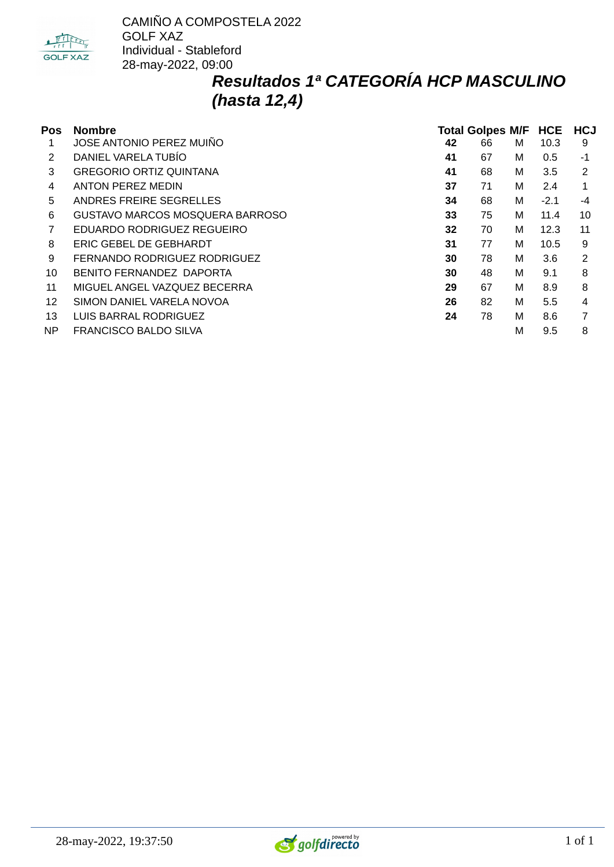

### *Resultados 1ª CATEGORÍA HCP MASCULINO (hasta 12,4)*

| Pos | <b>Nombre</b>                   | Total Golpes M/F HCE HCJ |    |   |        |      |  |
|-----|---------------------------------|--------------------------|----|---|--------|------|--|
|     | JOSE ANTONIO PEREZ MUIÑO        | 42                       | 66 | м | 10.3   | 9    |  |
| 2   | DANIEL VARELA TUBÍO             | 41                       | 67 | м | 0.5    | $-1$ |  |
| 3   | <b>GREGORIO ORTIZ QUINTANA</b>  | 41                       | 68 | м | 3.5    | 2    |  |
| 4   | <b>ANTON PEREZ MEDIN</b>        | 37                       | 71 | м | 2.4    | 1    |  |
| 5   | ANDRES FREIRE SEGRELLES         | 34                       | 68 | м | $-2.1$ | -4   |  |
| 6   | GUSTAVO MARCOS MOSQUERA BARROSO | 33                       | 75 | м | 11.4   | 10   |  |
|     | EDUARDO RODRIGUEZ REGUEIRO      | 32                       | 70 | м | 12.3   | 11   |  |
| 8   | ERIC GEBEL DE GEBHARDT          | 31                       | 77 | м | 10.5   | 9    |  |
| 9   | FERNANDO RODRIGUEZ RODRIGUEZ    | 30                       | 78 | м | 3.6    | 2    |  |
| 10  | BENITO FERNANDEZ DAPORTA        | 30                       | 48 | м | 9.1    | 8    |  |
| 11  | MIGUEL ANGEL VAZQUEZ BECERRA    | 29                       | 67 | м | 8.9    | 8    |  |
| 12  | SIMON DANIEL VARELA NOVOA       | 26                       | 82 | м | 5.5    | 4    |  |
| 13  | LUIS BARRAL RODRIGUEZ           | 24                       | 78 | м | 8.6    |      |  |
| NP. | FRANCISCO BALDO SILVA           |                          |    | M | 9.5    | 8    |  |

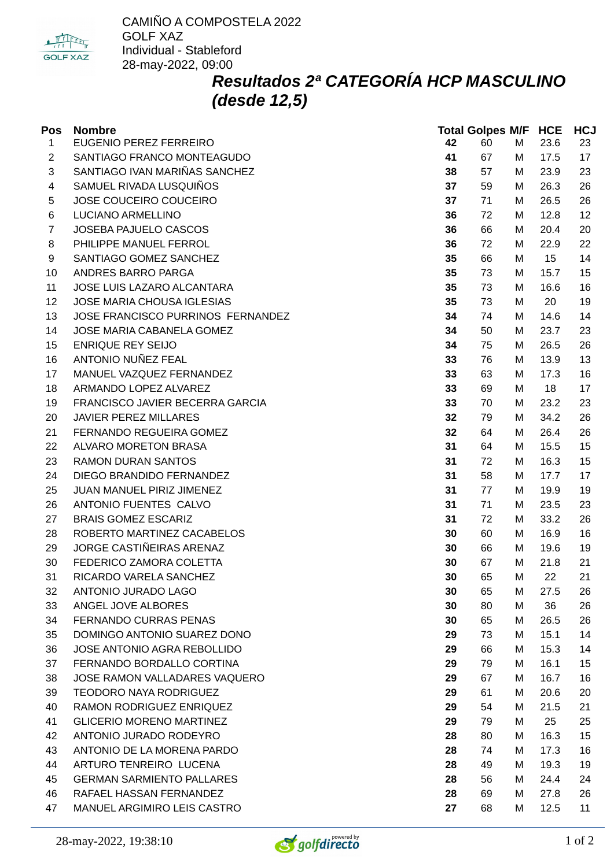

## *Resultados 2ª CATEGORÍA HCP MASCULINO (desde 12,5)*

| Pos            | <b>Nombre</b>                     |    | <b>Total Golpes M/F HCE</b> |   |      | <b>HCJ</b> |
|----------------|-----------------------------------|----|-----------------------------|---|------|------------|
| $\mathbf{1}$   | EUGENIO PEREZ FERREIRO            | 42 | 60                          | M | 23.6 | 23         |
| 2              | SANTIAGO FRANCO MONTEAGUDO        | 41 | 67                          | М | 17.5 | 17         |
| 3              | SANTIAGO IVAN MARIÑAS SANCHEZ     | 38 | 57                          | М | 23.9 | 23         |
| 4              | SAMUEL RIVADA LUSQUIÑOS           | 37 | 59                          | M | 26.3 | 26         |
| 5              | JOSE COUCEIRO COUCEIRO            | 37 | 71                          | М | 26.5 | 26         |
| 6              | LUCIANO ARMELLINO                 | 36 | 72                          | М | 12.8 | 12         |
| $\overline{7}$ | JOSEBA PAJUELO CASCOS             | 36 | 66                          | M | 20.4 | 20         |
| 8              | PHILIPPE MANUEL FERROL            | 36 | 72                          | М | 22.9 | 22         |
| 9              | SANTIAGO GOMEZ SANCHEZ            | 35 | 66                          | М | 15   | 14         |
| 10             | ANDRES BARRO PARGA                | 35 | 73                          | M | 15.7 | 15         |
| 11             | JOSE LUIS LAZARO ALCANTARA        | 35 | 73                          | М | 16.6 | 16         |
| 12             | JOSE MARIA CHOUSA IGLESIAS        | 35 | 73                          | М | 20   | 19         |
| 13             | JOSE FRANCISCO PURRINOS FERNANDEZ | 34 | 74                          | М | 14.6 | 14         |
| 14             | JOSE MARIA CABANELA GOMEZ         | 34 | 50                          | M | 23.7 | 23         |
| 15             | <b>ENRIQUE REY SEIJO</b>          | 34 | 75                          | М | 26.5 | 26         |
| 16             | ANTONIO NUÑEZ FEAL                | 33 | 76                          | М | 13.9 | 13         |
| 17             | MANUEL VAZQUEZ FERNANDEZ          | 33 | 63                          | M | 17.3 | 16         |
| 18             | ARMANDO LOPEZ ALVAREZ             | 33 | 69                          | М | 18   | 17         |
| 19             | FRANCISCO JAVIER BECERRA GARCIA   | 33 | 70                          | М | 23.2 | 23         |
| 20             | <b>JAVIER PEREZ MILLARES</b>      | 32 | 79                          | M | 34.2 | 26         |
| 21             | FERNANDO REGUEIRA GOMEZ           | 32 | 64                          | М | 26.4 | 26         |
| 22             | ALVARO MORETON BRASA              | 31 | 64                          | М | 15.5 | 15         |
| 23             | <b>RAMON DURAN SANTOS</b>         | 31 | 72                          | M | 16.3 | 15         |
| 24             | DIEGO BRANDIDO FERNANDEZ          | 31 | 58                          | М | 17.7 | 17         |
| 25             | JUAN MANUEL PIRIZ JIMENEZ         | 31 | 77                          | М | 19.9 | 19         |
| 26             | ANTONIO FUENTES CALVO             | 31 | 71                          | M | 23.5 | 23         |
| 27             | <b>BRAIS GOMEZ ESCARIZ</b>        | 31 | 72                          | M | 33.2 | 26         |
| 28             | ROBERTO MARTINEZ CACABELOS        | 30 | 60                          | М | 16.9 | 16         |
| 29             | JORGE CASTIÑEIRAS ARENAZ          | 30 | 66                          | М | 19.6 | 19         |
| 30             | FEDERICO ZAMORA COLETTA           | 30 | 67                          | M | 21.8 | 21         |
| 31             | RICARDO VARELA SANCHEZ            | 30 | 65                          | м | 22   | 21         |
| 32             | ANTONIO JURADO LAGO               | 30 | 65                          | M | 27.5 | 26         |
| 33             | ANGEL JOVE ALBORES                | 30 | 80                          | M | 36   | 26         |
| 34             | FERNANDO CURRAS PENAS             | 30 | 65                          | М | 26.5 | 26         |
| 35             | DOMINGO ANTONIO SUAREZ DONO       | 29 | 73                          | М | 15.1 | 14         |
| 36             | JOSE ANTONIO AGRA REBOLLIDO       | 29 | 66                          | M | 15.3 | 14         |
| 37             | FERNANDO BORDALLO CORTINA         | 29 | 79                          | M | 16.1 | 15         |
| 38             | JOSE RAMON VALLADARES VAQUERO     | 29 | 67                          | М | 16.7 | 16         |
| 39             | <b>TEODORO NAYA RODRIGUEZ</b>     | 29 | 61                          | M | 20.6 | 20         |
| 40             | RAMON RODRIGUEZ ENRIQUEZ          | 29 | 54                          | М | 21.5 | 21         |
| 41             | <b>GLICERIO MORENO MARTINEZ</b>   | 29 | 79                          | М | 25   | 25         |
| 42             | ANTONIO JURADO RODEYRO            | 28 | 80                          | M | 16.3 | 15         |
| 43             | ANTONIO DE LA MORENA PARDO        | 28 | 74                          | M | 17.3 | 16         |
| 44             | ARTURO TENREIRO LUCENA            | 28 | 49                          | М | 19.3 | 19         |
| 45             | <b>GERMAN SARMIENTO PALLARES</b>  | 28 | 56                          | М | 24.4 | 24         |
| 46             | RAFAEL HASSAN FERNANDEZ           | 28 | 69                          | М | 27.8 | 26         |
| 47             | MANUEL ARGIMIRO LEIS CASTRO       | 27 | 68                          | М | 12.5 | 11         |
|                |                                   |    |                             |   |      |            |

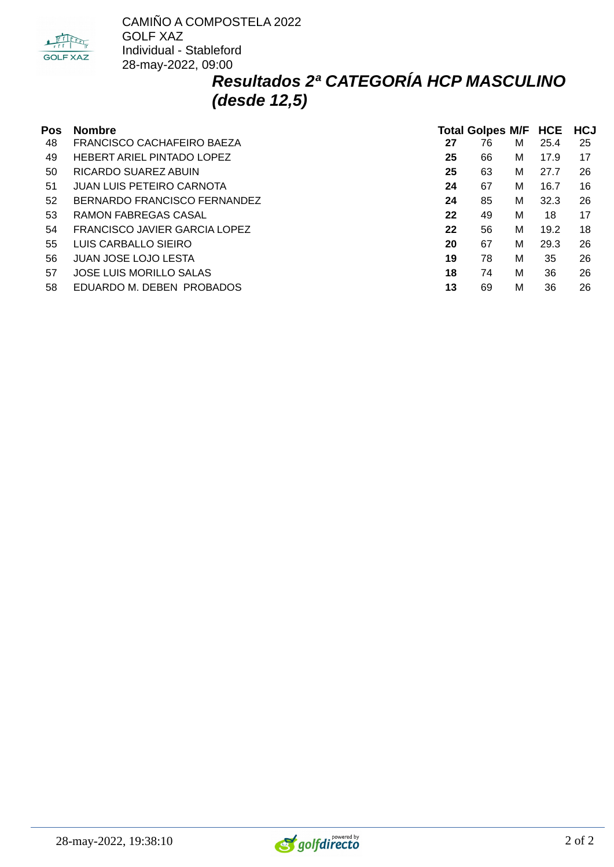

### *Resultados 2ª CATEGORÍA HCP MASCULINO (desde 12,5)*

| Pos | <b>Nombre</b>                 |    | <b>Total Golpes M/F HCE</b> |   | <b>HCJ</b> |    |
|-----|-------------------------------|----|-----------------------------|---|------------|----|
| 48  | FRANCISCO CACHAFEIRO BAEZA    | 27 | 76                          | м | 25.4       | 25 |
| 49  | HEBERT ARIEL PINTADO LOPEZ    | 25 | 66                          | M | 17.9       | 17 |
| 50  | RICARDO SUAREZ ABUIN          | 25 | 63                          | M | 27.7       | 26 |
| 51  | JUAN LUIS PETEIRO CARNOTA     | 24 | 67                          | M | 16.7       | 16 |
| 52  | BERNARDO FRANCISCO FERNANDEZ  | 24 | 85                          | М | 32.3       | 26 |
| 53  | RAMON FABREGAS CASAL          | 22 | 49                          | M | 18         | 17 |
| 54  | FRANCISCO JAVIER GARCIA LOPEZ | 22 | 56                          | M | 19.2       | 18 |
| 55  | LUIS CARBALLO SIEIRO          | 20 | 67                          | M | 29.3       | 26 |
| 56  | JUAN JOSE LOJO LESTA          | 19 | 78                          | M | 35         | 26 |
| 57  | JOSE LUIS MORILLO SALAS       | 18 | 74                          | M | 36         | 26 |
| 58  | EDUARDO M. DEBEN PROBADOS     | 13 | 69                          | M | 36         | 26 |